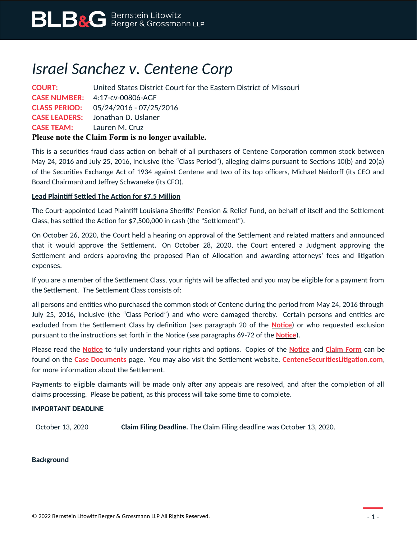# *Israel Sanchez v. Centene Corp*

**COURT:** United States District Court for the Eastern District of Missouri **CASE NUMBER:** 4:17-cv-00806-AGF **CLASS PERIOD:** 05/24/2016 - 07/25/2016 **CASE LEADERS:** Jonathan D. Uslaner **CASE TEAM:** Lauren M. Cruz **Please note the Claim Form is no longer available.**

This is a securities fraud class action on behalf of all purchasers of Centene Corporation common stock between May 24, 2016 and July 25, 2016, inclusive (the "Class Period"), alleging claims pursuant to Sections 10(b) and 20(a) of the Securities Exchange Act of 1934 against Centene and two of its top officers, Michael Neidorff (its CEO and Board Chairman) and Jeffrey Schwaneke (its CFO).

### **Lead Plaintiff Settled The Action for \$7.5 Million**

The Court-appointed Lead Plaintiff Louisiana Sheriffs' Pension & Relief Fund, on behalf of itself and the Settlement Class, has settled the Action for \$7,500,000 in cash (the "Settlement").

On October 26, 2020, the Court held a hearing on approval of the Settlement and related matters and announced that it would approve the Settlement. On October 28, 2020, the Court entered a Judgment approving the Settlement and orders approving the proposed Plan of Allocation and awarding attorneys' fees and litigation expenses.

If you are a member of the Settlement Class, your rights will be affected and you may be eligible for a payment from the Settlement. The Settlement Class consists of:

all persons and entities who purchased the common stock of Centene during the period from May 24, 2016 through July 25, 2016, inclusive (the "Class Period") and who were damaged thereby. Certain persons and entities are excluded from the Settlement Class by definition (*see* paragraph 20 of the **[Notice](https://www.blbglaw.com/cases/centene-corp/_res/id=Attachments/index=0/BLBG-#1392845-v1-CTE_-_Long_Notice.PDF)**) or who requested exclusion pursuant to the instructions set forth in the Notice (*see* paragraphs 69-72 of the **[Notice](https://www.blbglaw.com/cases/centene-corp/_res/id=Attachments/index=0/BLBG-#1392845-v1-CTE_-_Long_Notice.PDF)**).

Please read the **[Notice](https://www.blbglaw.com/cases/centene-corp/_res/id=Attachments/index=0/BLBG-#1392845-v1-CTE_-_Long_Notice.PDF)** to fully understand your rights and options. Copies of the **[Notice](https://www.blbglaw.com/cases/centene-corp/_res/id=Attachments/index=0/BLBG-#1392845-v1-CTE_-_Long_Notice.PDF)** and **[Claim Form](https://www.blbglaw.com/cases/centene-corp/_res/id=Attachments/index=1/BLBG-#1392846-v1-CTE_-_Claim_Form.PDF)** can be found on the **[Case Documents](https://www.blbglaw.com/cases/centene-corp?viewDocs=1)** page. You may also visit the Settlement website, **[CenteneSecuritiesLitigation.com](https://www.centenesecuritieslitigation.com/)**, for more information about the Settlement.

Payments to eligible claimants will be made only after any appeals are resolved, and after the completion of all claims processing. Please be patient, as this process will take some time to complete.

### **IMPORTANT DEADLINE**

October 13, 2020 **Claim Filing Deadline.** The Claim Filing deadline was October 13, 2020.

### **Background**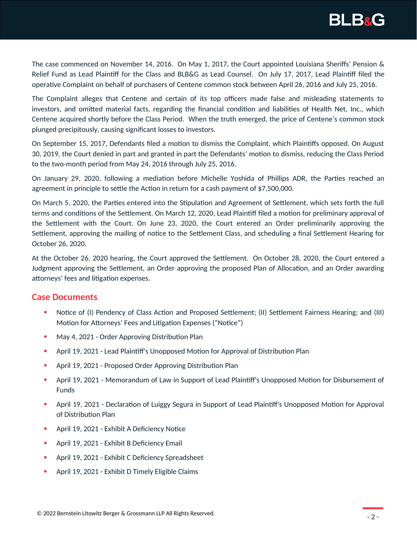

The case commenced on November 14, 2016. On May 1, 2017, the Court appointed Louisiana Sheriffs' Pension & Relief Fund as Lead Plaintiff for the Class and BLB&G as Lead Counsel. On July 17, 2017, Lead Plaintiff filed the operative Complaint on behalf of purchasers of Centene common stock between April 26, 2016 and July 25, 2016.

The Complaint alleges that Centene and certain of its top officers made false and misleading statements to investors, and omitted material facts, regarding the financial condition and liabilities of Health Net, Inc., which Centene acquired shortly before the Class Period. When the truth emerged, the price of Centene's common stock plunged precipitously, causing significant losses to investors.

On September 15, 2017, Defendants filed a motion to dismiss the Complaint, which Plaintiffs opposed. On August 30, 2019, the Court denied in part and granted in part the Defendants' motion to dismiss, reducing the Class Period to the two-month period from May 24, 2016 through July 25, 2016.

On January 29, 2020, following a mediation before Michelle Yoshida of Phillips ADR, the Parties reached an agreement in principle to settle the Action in return for a cash payment of \$7,500,000.

On March 5, 2020, the Parties entered into the Stipulation and Agreement of Settlement, which sets forth the full terms and conditions of the Settlement. On March 12, 2020, Lead Plaintiff filed a motion for preliminary approval of the Settlement with the Court. On June 23, 2020, the Court entered an Order preliminarily approving the Settlement, approving the mailing of notice to the Settlement Class, and scheduling a final Settlement Hearing for October 26, 2020.

At the October 26, 2020 hearing, the Court approved the Settlement. On October 28, 2020, the Court entered a Judgment approving the Settlement, an Order approving the proposed Plan of Allocation, and an Order awarding attorneys' fees and litigation expenses.

## **Case Documents**

- Notice of (I) Pendency of Class Action and Proposed Settlement; (II) Settlement Fairness Hearing; and (III) Motion for Attorneys' Fees and Litigation Expenses ("Notice")
- May 4, 2021 Order Approving Distribution Plan
- April 19, 2021 Lead Plaintiff's Unopposed Motion for Approval of Distribution Plan
- April 19, 2021 Proposed Order Approving Distribution Plan
- April 19, 2021 Memorandum of Law in Support of Lead Plaintiff's Unopposed Motion for Disbursement of Funds
- April 19, 2021 Declaration of Luiggy Segura in Support of Lead Plaintiff's Unopposed Motion for Approval of Distribution Plan
- April 19, 2021 Exhibit A Deficiency Notice
- April 19, 2021 Exhibit B Deficiency Email
- April 19, 2021 Exhibit C Deficiency Spreadsheet
- April 19, 2021 Exhibit D Timely Eligible Claims